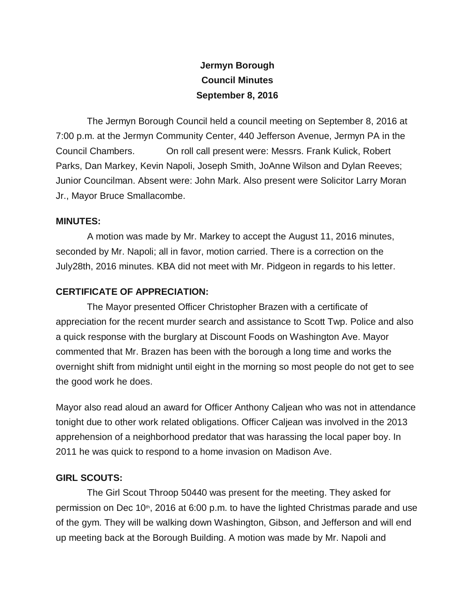## **Jermyn Borough Council Minutes September 8, 2016**

 The Jermyn Borough Council held a council meeting on September 8, 2016 at 7:00 p.m. at the Jermyn Community Center, 440 Jefferson Avenue, Jermyn PA in the Council Chambers. On roll call present were: Messrs. Frank Kulick, Robert Parks, Dan Markey, Kevin Napoli, Joseph Smith, JoAnne Wilson and Dylan Reeves; Junior Councilman. Absent were: John Mark. Also present were Solicitor Larry Moran Jr., Mayor Bruce Smallacombe.

#### **MINUTES:**

A motion was made by Mr. Markey to accept the August 11, 2016 minutes, seconded by Mr. Napoli; all in favor, motion carried. There is a correction on the July28th, 2016 minutes. KBA did not meet with Mr. Pidgeon in regards to his letter.

### **CERTIFICATE OF APPRECIATION:**

The Mayor presented Officer Christopher Brazen with a certificate of appreciation for the recent murder search and assistance to Scott Twp. Police and also a quick response with the burglary at Discount Foods on Washington Ave. Mayor commented that Mr. Brazen has been with the borough a long time and works the overnight shift from midnight until eight in the morning so most people do not get to see the good work he does.

Mayor also read aloud an award for Officer Anthony Caljean who was not in attendance tonight due to other work related obligations. Officer Caljean was involved in the 2013 apprehension of a neighborhood predator that was harassing the local paper boy. In 2011 he was quick to respond to a home invasion on Madison Ave.

## **GIRL SCOUTS:**

The Girl Scout Throop 50440 was present for the meeting. They asked for permission on Dec  $10<sup>th</sup>$ , 2016 at 6:00 p.m. to have the lighted Christmas parade and use of the gym. They will be walking down Washington, Gibson, and Jefferson and will end up meeting back at the Borough Building. A motion was made by Mr. Napoli and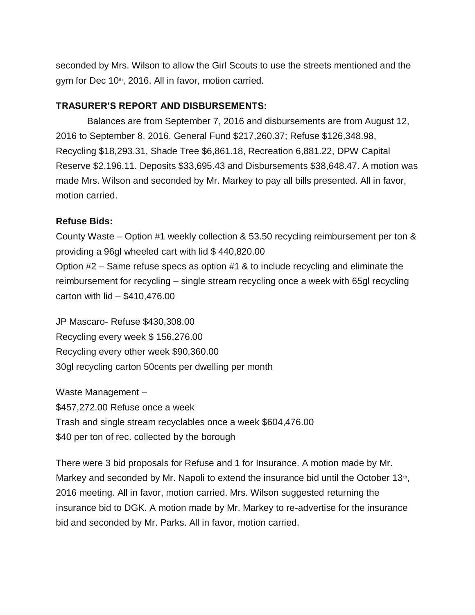seconded by Mrs. Wilson to allow the Girl Scouts to use the streets mentioned and the gym for Dec 10<sup>th</sup>, 2016. All in favor, motion carried.

#### **TRASURER'S REPORT AND DISBURSEMENTS:**

 Balances are from September 7, 2016 and disbursements are from August 12, 2016 to September 8, 2016. General Fund \$217,260.37; Refuse \$126,348.98, Recycling \$18,293.31, Shade Tree \$6,861.18, Recreation 6,881.22, DPW Capital Reserve \$2,196.11. Deposits \$33,695.43 and Disbursements \$38,648.47. A motion was made Mrs. Wilson and seconded by Mr. Markey to pay all bills presented. All in favor, motion carried.

#### **Refuse Bids:**

County Waste – Option #1 weekly collection & 53.50 recycling reimbursement per ton & providing a 96gl wheeled cart with lid \$ 440,820.00 Option #2 – Same refuse specs as option #1 & to include recycling and eliminate the reimbursement for recycling – single stream recycling once a week with 65gl recycling carton with lid – \$410,476.00

JP Mascaro- Refuse \$430,308.00 Recycling every week \$ 156,276.00 Recycling every other week \$90,360.00 30gl recycling carton 50cents per dwelling per month

Waste Management – \$457,272.00 Refuse once a week Trash and single stream recyclables once a week \$604,476.00 \$40 per ton of rec. collected by the borough

There were 3 bid proposals for Refuse and 1 for Insurance. A motion made by Mr. Markey and seconded by Mr. Napoli to extend the insurance bid until the October  $13<sup>th</sup>$ , 2016 meeting. All in favor, motion carried. Mrs. Wilson suggested returning the insurance bid to DGK. A motion made by Mr. Markey to re-advertise for the insurance bid and seconded by Mr. Parks. All in favor, motion carried.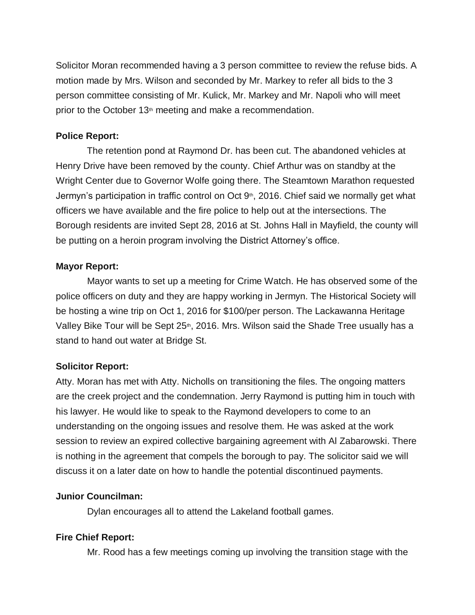Solicitor Moran recommended having a 3 person committee to review the refuse bids. A motion made by Mrs. Wilson and seconded by Mr. Markey to refer all bids to the 3 person committee consisting of Mr. Kulick, Mr. Markey and Mr. Napoli who will meet prior to the October 13<sup>th</sup> meeting and make a recommendation.

#### **Police Report:**

The retention pond at Raymond Dr. has been cut. The abandoned vehicles at Henry Drive have been removed by the county. Chief Arthur was on standby at the Wright Center due to Governor Wolfe going there. The Steamtown Marathon requested Jermyn's participation in traffic control on Oct  $9<sup>th</sup>$ , 2016. Chief said we normally get what officers we have available and the fire police to help out at the intersections. The Borough residents are invited Sept 28, 2016 at St. Johns Hall in Mayfield, the county will be putting on a heroin program involving the District Attorney's office.

#### **Mayor Report:**

Mayor wants to set up a meeting for Crime Watch. He has observed some of the police officers on duty and they are happy working in Jermyn. The Historical Society will be hosting a wine trip on Oct 1, 2016 for \$100/per person. The Lackawanna Heritage Valley Bike Tour will be Sept 25<sup>th</sup>, 2016. Mrs. Wilson said the Shade Tree usually has a stand to hand out water at Bridge St.

### **Solicitor Report:**

Atty. Moran has met with Atty. Nicholls on transitioning the files. The ongoing matters are the creek project and the condemnation. Jerry Raymond is putting him in touch with his lawyer. He would like to speak to the Raymond developers to come to an understanding on the ongoing issues and resolve them. He was asked at the work session to review an expired collective bargaining agreement with Al Zabarowski. There is nothing in the agreement that compels the borough to pay. The solicitor said we will discuss it on a later date on how to handle the potential discontinued payments.

#### **Junior Councilman:**

Dylan encourages all to attend the Lakeland football games.

### **Fire Chief Report:**

Mr. Rood has a few meetings coming up involving the transition stage with the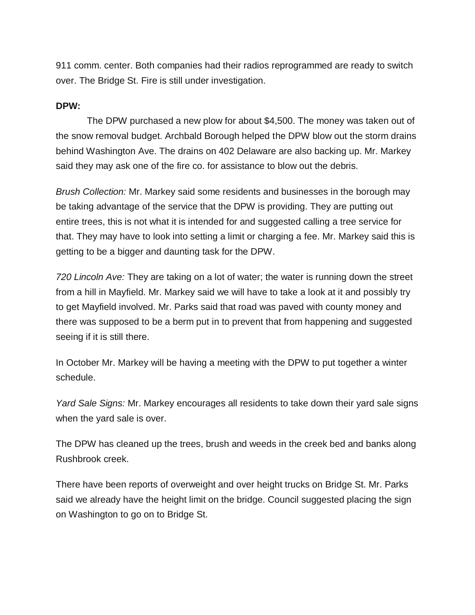911 comm. center. Both companies had their radios reprogrammed are ready to switch over. The Bridge St. Fire is still under investigation.

#### **DPW:**

The DPW purchased a new plow for about \$4,500. The money was taken out of the snow removal budget. Archbald Borough helped the DPW blow out the storm drains behind Washington Ave. The drains on 402 Delaware are also backing up. Mr. Markey said they may ask one of the fire co. for assistance to blow out the debris.

*Brush Collection:* Mr. Markey said some residents and businesses in the borough may be taking advantage of the service that the DPW is providing. They are putting out entire trees, this is not what it is intended for and suggested calling a tree service for that. They may have to look into setting a limit or charging a fee. Mr. Markey said this is getting to be a bigger and daunting task for the DPW.

*720 Lincoln Ave:* They are taking on a lot of water; the water is running down the street from a hill in Mayfield. Mr. Markey said we will have to take a look at it and possibly try to get Mayfield involved. Mr. Parks said that road was paved with county money and there was supposed to be a berm put in to prevent that from happening and suggested seeing if it is still there.

In October Mr. Markey will be having a meeting with the DPW to put together a winter schedule.

*Yard Sale Signs:* Mr. Markey encourages all residents to take down their yard sale signs when the yard sale is over.

The DPW has cleaned up the trees, brush and weeds in the creek bed and banks along Rushbrook creek.

There have been reports of overweight and over height trucks on Bridge St. Mr. Parks said we already have the height limit on the bridge. Council suggested placing the sign on Washington to go on to Bridge St.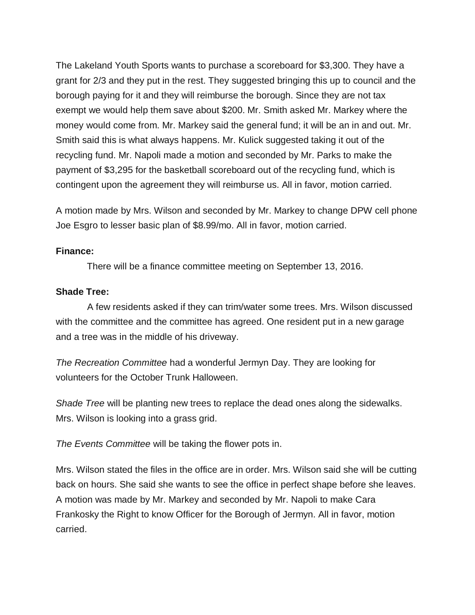The Lakeland Youth Sports wants to purchase a scoreboard for \$3,300. They have a grant for 2/3 and they put in the rest. They suggested bringing this up to council and the borough paying for it and they will reimburse the borough. Since they are not tax exempt we would help them save about \$200. Mr. Smith asked Mr. Markey where the money would come from. Mr. Markey said the general fund; it will be an in and out. Mr. Smith said this is what always happens. Mr. Kulick suggested taking it out of the recycling fund. Mr. Napoli made a motion and seconded by Mr. Parks to make the payment of \$3,295 for the basketball scoreboard out of the recycling fund, which is contingent upon the agreement they will reimburse us. All in favor, motion carried.

A motion made by Mrs. Wilson and seconded by Mr. Markey to change DPW cell phone Joe Esgro to lesser basic plan of \$8.99/mo. All in favor, motion carried.

#### **Finance:**

There will be a finance committee meeting on September 13, 2016.

#### **Shade Tree:**

A few residents asked if they can trim/water some trees. Mrs. Wilson discussed with the committee and the committee has agreed. One resident put in a new garage and a tree was in the middle of his driveway.

*The Recreation Committee* had a wonderful Jermyn Day. They are looking for volunteers for the October Trunk Halloween.

*Shade Tree* will be planting new trees to replace the dead ones along the sidewalks. Mrs. Wilson is looking into a grass grid.

*The Events Committee* will be taking the flower pots in.

Mrs. Wilson stated the files in the office are in order. Mrs. Wilson said she will be cutting back on hours. She said she wants to see the office in perfect shape before she leaves. A motion was made by Mr. Markey and seconded by Mr. Napoli to make Cara Frankosky the Right to know Officer for the Borough of Jermyn. All in favor, motion carried.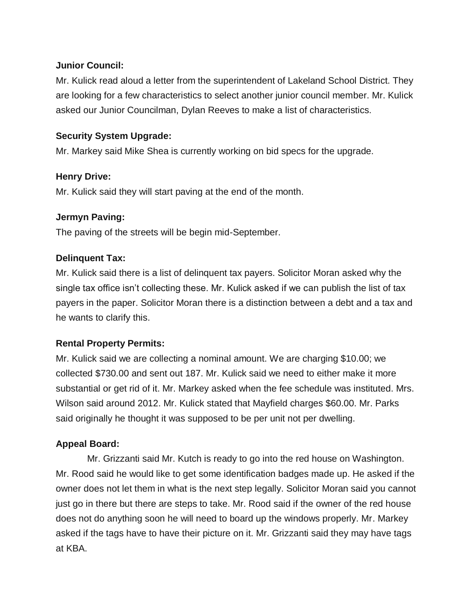## **Junior Council:**

Mr. Kulick read aloud a letter from the superintendent of Lakeland School District. They are looking for a few characteristics to select another junior council member. Mr. Kulick asked our Junior Councilman, Dylan Reeves to make a list of characteristics.

## **Security System Upgrade:**

Mr. Markey said Mike Shea is currently working on bid specs for the upgrade.

## **Henry Drive:**

Mr. Kulick said they will start paving at the end of the month.

## **Jermyn Paving:**

The paving of the streets will be begin mid-September.

## **Delinquent Tax:**

Mr. Kulick said there is a list of delinquent tax payers. Solicitor Moran asked why the single tax office isn't collecting these. Mr. Kulick asked if we can publish the list of tax payers in the paper. Solicitor Moran there is a distinction between a debt and a tax and he wants to clarify this.

## **Rental Property Permits:**

Mr. Kulick said we are collecting a nominal amount. We are charging \$10.00; we collected \$730.00 and sent out 187. Mr. Kulick said we need to either make it more substantial or get rid of it. Mr. Markey asked when the fee schedule was instituted. Mrs. Wilson said around 2012. Mr. Kulick stated that Mayfield charges \$60.00. Mr. Parks said originally he thought it was supposed to be per unit not per dwelling.

## **Appeal Board:**

Mr. Grizzanti said Mr. Kutch is ready to go into the red house on Washington. Mr. Rood said he would like to get some identification badges made up. He asked if the owner does not let them in what is the next step legally. Solicitor Moran said you cannot just go in there but there are steps to take. Mr. Rood said if the owner of the red house does not do anything soon he will need to board up the windows properly. Mr. Markey asked if the tags have to have their picture on it. Mr. Grizzanti said they may have tags at KBA.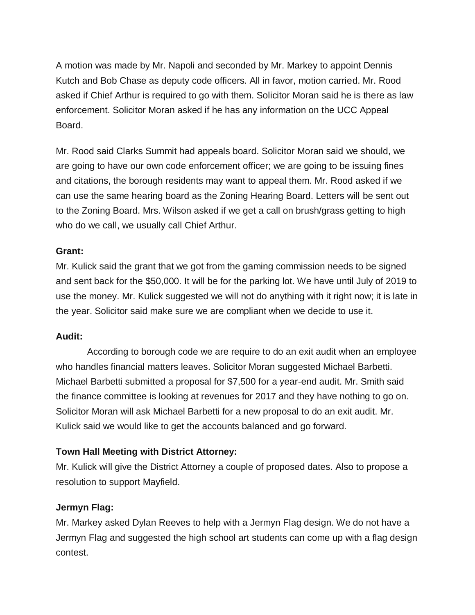A motion was made by Mr. Napoli and seconded by Mr. Markey to appoint Dennis Kutch and Bob Chase as deputy code officers. All in favor, motion carried. Mr. Rood asked if Chief Arthur is required to go with them. Solicitor Moran said he is there as law enforcement. Solicitor Moran asked if he has any information on the UCC Appeal Board.

Mr. Rood said Clarks Summit had appeals board. Solicitor Moran said we should, we are going to have our own code enforcement officer; we are going to be issuing fines and citations, the borough residents may want to appeal them. Mr. Rood asked if we can use the same hearing board as the Zoning Hearing Board. Letters will be sent out to the Zoning Board. Mrs. Wilson asked if we get a call on brush/grass getting to high who do we call, we usually call Chief Arthur.

#### **Grant:**

Mr. Kulick said the grant that we got from the gaming commission needs to be signed and sent back for the \$50,000. It will be for the parking lot. We have until July of 2019 to use the money. Mr. Kulick suggested we will not do anything with it right now; it is late in the year. Solicitor said make sure we are compliant when we decide to use it.

#### **Audit:**

According to borough code we are require to do an exit audit when an employee who handles financial matters leaves. Solicitor Moran suggested Michael Barbetti. Michael Barbetti submitted a proposal for \$7,500 for a year-end audit. Mr. Smith said the finance committee is looking at revenues for 2017 and they have nothing to go on. Solicitor Moran will ask Michael Barbetti for a new proposal to do an exit audit. Mr. Kulick said we would like to get the accounts balanced and go forward.

### **Town Hall Meeting with District Attorney:**

Mr. Kulick will give the District Attorney a couple of proposed dates. Also to propose a resolution to support Mayfield.

### **Jermyn Flag:**

Mr. Markey asked Dylan Reeves to help with a Jermyn Flag design. We do not have a Jermyn Flag and suggested the high school art students can come up with a flag design contest.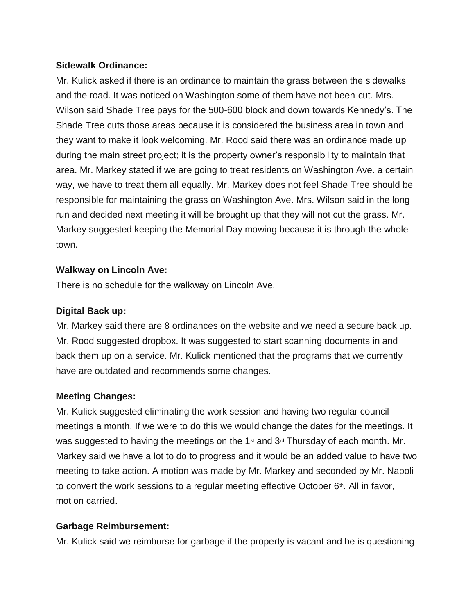### **Sidewalk Ordinance:**

Mr. Kulick asked if there is an ordinance to maintain the grass between the sidewalks and the road. It was noticed on Washington some of them have not been cut. Mrs. Wilson said Shade Tree pays for the 500-600 block and down towards Kennedy's. The Shade Tree cuts those areas because it is considered the business area in town and they want to make it look welcoming. Mr. Rood said there was an ordinance made up during the main street project; it is the property owner's responsibility to maintain that area. Mr. Markey stated if we are going to treat residents on Washington Ave. a certain way, we have to treat them all equally. Mr. Markey does not feel Shade Tree should be responsible for maintaining the grass on Washington Ave. Mrs. Wilson said in the long run and decided next meeting it will be brought up that they will not cut the grass. Mr. Markey suggested keeping the Memorial Day mowing because it is through the whole town.

#### **Walkway on Lincoln Ave:**

There is no schedule for the walkway on Lincoln Ave.

### **Digital Back up:**

Mr. Markey said there are 8 ordinances on the website and we need a secure back up. Mr. Rood suggested dropbox. It was suggested to start scanning documents in and back them up on a service. Mr. Kulick mentioned that the programs that we currently have are outdated and recommends some changes.

### **Meeting Changes:**

Mr. Kulick suggested eliminating the work session and having two regular council meetings a month. If we were to do this we would change the dates for the meetings. It was suggested to having the meetings on the 1<sup>st</sup> and  $3<sup>d</sup>$  Thursday of each month. Mr. Markey said we have a lot to do to progress and it would be an added value to have two meeting to take action. A motion was made by Mr. Markey and seconded by Mr. Napoli to convert the work sessions to a regular meeting effective October  $6<sup>th</sup>$ . All in favor, motion carried.

#### **Garbage Reimbursement:**

Mr. Kulick said we reimburse for garbage if the property is vacant and he is questioning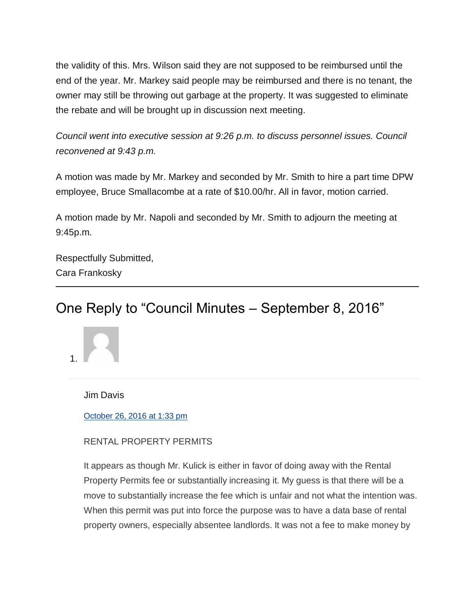the validity of this. Mrs. Wilson said they are not supposed to be reimbursed until the end of the year. Mr. Markey said people may be reimbursed and there is no tenant, the owner may still be throwing out garbage at the property. It was suggested to eliminate the rebate and will be brought up in discussion next meeting.

*Council went into executive session at 9:26 p.m. to discuss personnel issues. Council reconvened at 9:43 p.m.*

A motion was made by Mr. Markey and seconded by Mr. Smith to hire a part time DPW employee, Bruce Smallacombe at a rate of \$10.00/hr. All in favor, motion carried.

A motion made by Mr. Napoli and seconded by Mr. Smith to adjourn the meeting at 9:45p.m.

Respectfully Submitted, Cara Frankosky

# One Reply to "Council Minutes – September 8, 2016"



Jim Davis

October 26, 2016 at 1:33 pm

### RENTAL PROPERTY PERMITS

It appears as though Mr. Kulick is either in favor of doing away with the Rental Property Permits fee or substantially increasing it. My guess is that there will be a move to substantially increase the fee which is unfair and not what the intention was. When this permit was put into force the purpose was to have a data base of rental property owners, especially absentee landlords. It was not a fee to make money by